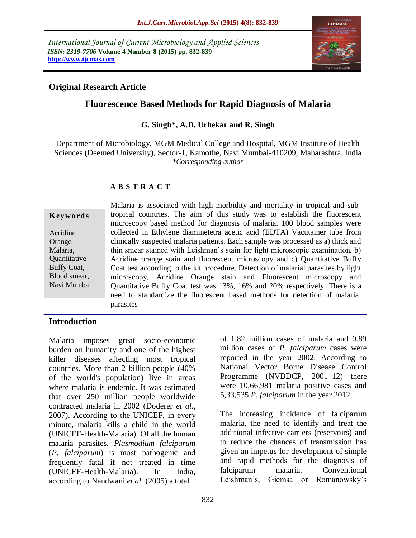*International Journal of Current Microbiology and Applied Sciences ISSN: 2319-7706* **Volume 4 Number 8 (2015) pp. 832-839 http://www.ijcmas.com** 



### **Original Research Article**

# **Fluorescence Based Methods for Rapid Diagnosis of Malaria**

#### **G. Singh\*, A.D. Urhekar and R. Singh**

Department of Microbiology, MGM Medical College and Hospital, MGM Institute of Health Sciences (Deemed University), Sector-1, Kamothe, Navi Mumbai-410209, Maharashtra, India *\*Corresponding author*

#### **A B S T R A C T**

#### **K ey w o rd s**

Acridine Orange, Malaria, **Ouantitative** Buffy Coat, Blood smear, Navi Mumbai Malaria is associated with high morbidity and mortality in tropical and subtropical countries. The aim of this study was to establish the fluorescent microscopy based method for diagnosis of malaria. 100 blood samples were collected in Ethylene diaminetetra acetic acid (EDTA) Vacutainer tube from clinically suspected malaria patients. Each sample was processed as a) thick and thin smear stained with Leishman's stain for light microscopic examination, b) Acridine orange stain and fluorescent microscopy and c) Quantitative Buffy Coat test according to the kit procedure. Detection of malarial parasites by light microscopy, Acridine Orange stain and Fluorescent microscopy and Quantitative Buffy Coat test was 13%, 16% and 20% respectively. There is a need to standardize the fluorescent based methods for detection of malarial parasites

> of 1.82 million cases of malaria and 0.89 million cases of *P. falciparum* cases were reported in the year 2002. According to National Vector Borne Disease Control Programme (NVBDCP, 2001–12) there were 10,66,981 malaria positive cases and 5,33,535 *P. falciparum* in the year 2012.

> The increasing incidence of falciparum malaria, the need to identify and treat the additional infective carriers (reservoirs) and to reduce the chances of transmission has given an impetus for development of simple and rapid methods for the diagnosis of

#### **Introduction**

Malaria imposes great socio-economic burden on humanity and one of the highest killer diseases affecting most tropical countries. More than 2 billion people (40% of the world's population) live in areas where malaria is endemic. It was estimated that over 250 million people worldwide contracted malaria in 2002 (Doderer *et al.,* 2007). According to the UNICEF, in every minute, malaria kills a child in the world (UNICEF-Health-Malaria). Of all the human malaria parasites, *Plasmodium falciparum* (*P. falciparum*) is most pathogenic and frequently fatal if not treated in time (UNICEF-Health-Malaria). In India, according to Nandwani *et al.* (2005) a total

falciparum malaria. Conventional Leishman's, Giemsa or Romanowsky's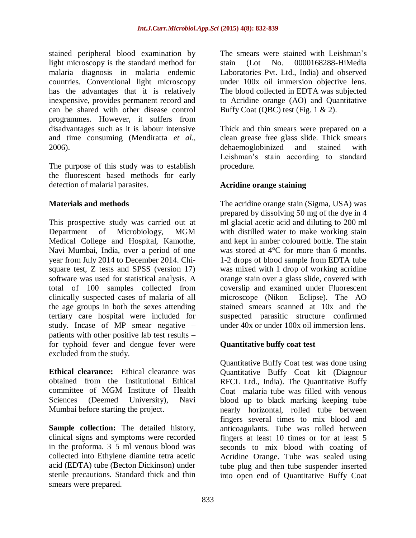stained peripheral blood examination by light microscopy is the standard method for malaria diagnosis in malaria endemic countries. Conventional light microscopy has the advantages that it is relatively inexpensive, provides permanent record and can be shared with other disease control programmes. However, it suffers from disadvantages such as it is labour intensive and time consuming (Mendiratta *et al.,* 2006).

The purpose of this study was to establish the fluorescent based methods for early detection of malarial parasites.

## **Materials and methods**

This prospective study was carried out at Department of Microbiology, MGM Medical College and Hospital, Kamothe, Navi Mumbai, India, over a period of one year from July 2014 to December 2014. Chisquare test, Z tests and SPSS (version 17) software was used for statistical analysis. A total of 100 samples collected from clinically suspected cases of malaria of all the age groups in both the sexes attending tertiary care hospital were included for study. Incase of MP smear negative – patients with other positive lab test results – for typhoid fever and dengue fever were excluded from the study.

**Ethical clearance:** Ethical clearance was obtained from the Institutional Ethical committee of MGM Institute of Health Sciences (Deemed University), Navi Mumbai before starting the project.

**Sample collection:** The detailed history, clinical signs and symptoms were recorded in the proforma. 3–5 ml venous blood was collected into Ethylene diamine tetra acetic acid (EDTA) tube (Becton Dickinson) under sterile precautions. Standard thick and thin smears were prepared.

The smears were stained with Leishman's stain (Lot No. 0000168288-HiMedia Laboratories Pvt. Ltd., India) and observed under 100x oil immersion objective lens. The blood collected in EDTA was subjected to Acridine orange (AO) and Quantitative Buffy Coat (QBC) test (Fig.  $1 \& 2$ ).

Thick and thin smears were prepared on a clean grease free glass slide. Thick smears dehaemoglobinized and stained with Leishman's stain according to standard procedure.

## **Acridine orange staining**

The acridine orange stain (Sigma, USA) was prepared by dissolving 50 mg of the dye in 4 ml glacial acetic acid and diluting to 200 ml with distilled water to make working stain and kept in amber coloured bottle. The stain was stored at 4°C for more than 6 months. 1-2 drops of blood sample from EDTA tube was mixed with 1 drop of working acridine orange stain over a glass slide, covered with coverslip and examined under Fluorescent microscope (Nikon –Eclipse). The AO stained smears scanned at 10x and the suspected parasitic structure confirmed under 40x or under 100x oil immersion lens.

## **Quantitative buffy coat test**

Quantitative Buffy Coat test was done using Quantitative Buffy Coat kit (Diagnour RFCL Ltd., India). The Quantitative Buffy Coat malaria tube was filled with venous blood up to black marking keeping tube nearly horizontal, rolled tube between fingers several times to mix blood and anticoagulants. Tube was rolled between fingers at least 10 times or for at least 5 seconds to mix blood with coating of Acridine Orange. Tube was sealed using tube plug and then tube suspender inserted into open end of Quantitative Buffy Coat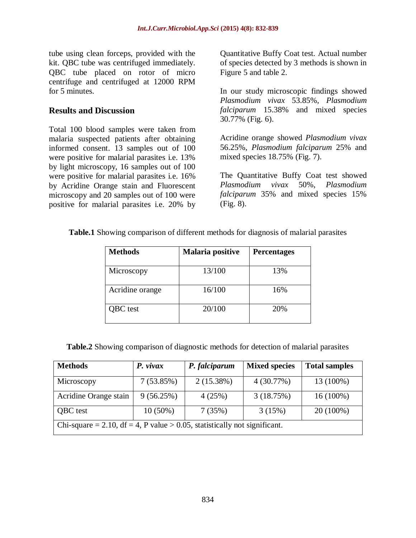tube using clean forceps, provided with the kit. QBC tube was centrifuged immediately. QBC tube placed on rotor of micro centrifuge and centrifuged at 12000 RPM for 5 minutes.

### **Results and Discussion**

Total 100 blood samples were taken from malaria suspected patients after obtaining informed consent. 13 samples out of 100 were positive for malarial parasites i.e. 13% by light microscopy, 16 samples out of 100 were positive for malarial parasites i.e. 16% by Acridine Orange stain and Fluorescent microscopy and 20 samples out of 100 were positive for malarial parasites i.e. 20% by Quantitative Buffy Coat test. Actual number of species detected by 3 methods is shown in Figure 5 and table 2.

In our study microscopic findings showed *Plasmodium vivax* 53.85%, *Plasmodium falciparum* 15.38% and mixed species 30.77% (Fig. 6).

Acridine orange showed *Plasmodium vivax* 56.25%, *Plasmodium falciparum* 25% and mixed species 18.75% (Fig. 7).

The Quantitative Buffy Coat test showed *Plasmodium vivax* 50%, *Plasmodium falciparum* 35% and mixed species 15% (Fig. 8).

|  |  |  |  |  |  | Table.1 Showing comparison of different methods for diagnosis of malarial parasites |
|--|--|--|--|--|--|-------------------------------------------------------------------------------------|
|--|--|--|--|--|--|-------------------------------------------------------------------------------------|

| <b>Methods</b>  | <b>Malaria positive</b> | <b>Percentages</b> |
|-----------------|-------------------------|--------------------|
| Microscopy      | 13/100                  | 13%                |
| Acridine orange | 16/100                  | 16%                |
| QBC test        | 20/100                  | 20%                |

**Table.2** Showing comparison of diagnostic methods for detection of malarial parasites

| <b>Methods</b>                                                            | $P.$ vivax | P. falciparum | <b>Mixed species</b> | <b>Total samples</b> |  |  |  |
|---------------------------------------------------------------------------|------------|---------------|----------------------|----------------------|--|--|--|
| Microscopy                                                                | 7(53.85%)  | 2(15.38%)     | 4(30.77%)            | 13 (100%)            |  |  |  |
| Acridine Orange stain                                                     | 9(56.25%)  | 4(25%)        | 3(18.75%)            | $16(100\%)$          |  |  |  |
| QBC test                                                                  | $10(50\%)$ | 7(35%)        | 3(15%)               | $20(100\%)$          |  |  |  |
| Chi-square = 2.10, df = 4, P value > 0.05, statistically not significant. |            |               |                      |                      |  |  |  |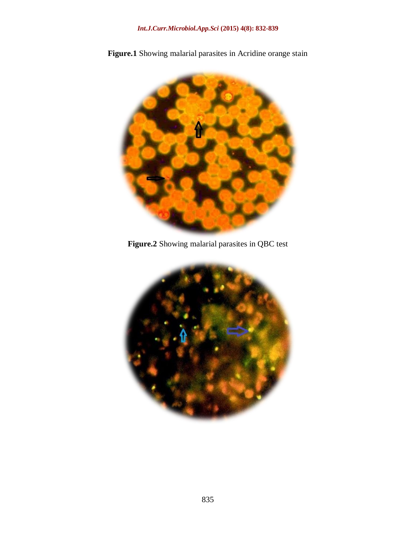

**Figure.1** Showing malarial parasites in Acridine orange stain

**Figure.2** Showing malarial parasites in QBC test

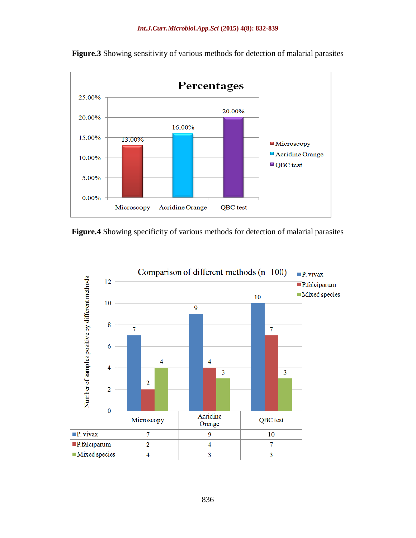

**Figure.3** Showing sensitivity of various methods for detection of malarial parasites

**Figure.4** Showing specificity of various methods for detection of malarial parasites

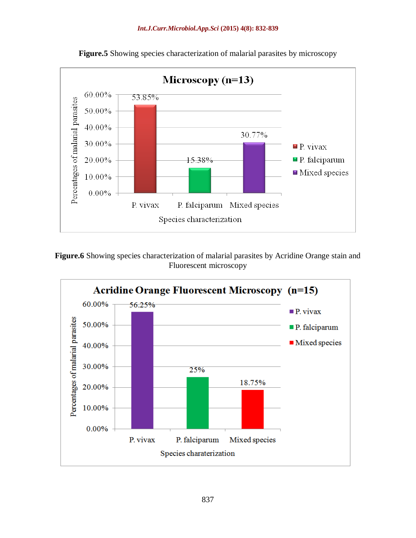

**Figure.5** Showing species characterization of malarial parasites by microscopy

Figure.6 Showing species characterization of malarial parasites by Acridine Orange stain and Fluorescent microscopy

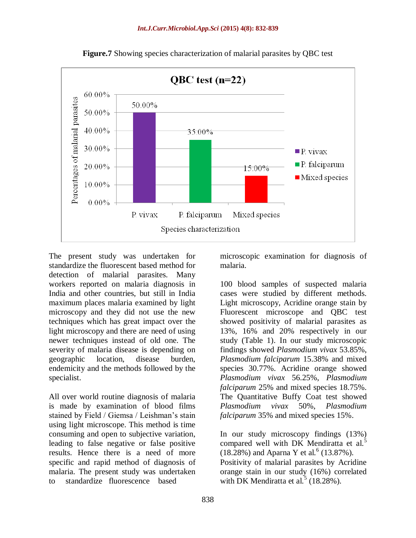

**Figure.7** Showing species characterization of malarial parasites by QBC test

The present study was undertaken for standardize the fluorescent based method for detection of malarial parasites. Many workers reported on malaria diagnosis in India and other countries, but still in India maximum places malaria examined by light microscopy and they did not use the new techniques which has great impact over the light microscopy and there are need of using newer techniques instead of old one. The severity of malaria disease is depending on geographic location, disease burden, endemicity and the methods followed by the specialist.

All over world routine diagnosis of malaria is made by examination of blood films stained by Field / Giemsa / Leishman's stain using light microscope. This method is time consuming and open to subjective variation, leading to false negative or false positive results. Hence there is a need of more specific and rapid method of diagnosis of malaria. The present study was undertaken to standardize fluorescence based

microscopic examination for diagnosis of malaria.

100 blood samples of suspected malaria cases were studied by different methods. Light microscopy, Acridine orange stain by Fluorescent microscope and QBC test showed positivity of malarial parasites as 13%, 16% and 20% respectively in our study (Table 1). In our study microscopic findings showed *Plasmodium vivax* 53.85%, *Plasmodium falciparum* 15.38% and mixed species 30.77%. Acridine orange showed *Plasmodium vivax* 56.25%, *Plasmodium falciparum* 25% and mixed species 18.75%. The Quantitative Buffy Coat test showed *Plasmodium vivax* 50%, *Plasmodium falciparum* 35% and mixed species 15%.

In our study microscopy findings (13%) compared well with DK Mendiratta et al.<sup>5</sup>  $(18.28%)$  and Aparna Y et al.<sup>6</sup> (13.87%). Positivity of malarial parasites by Acridine orange stain in our study (16%) correlated with DK Mendiratta et al.<sup>5</sup> (18.28%).